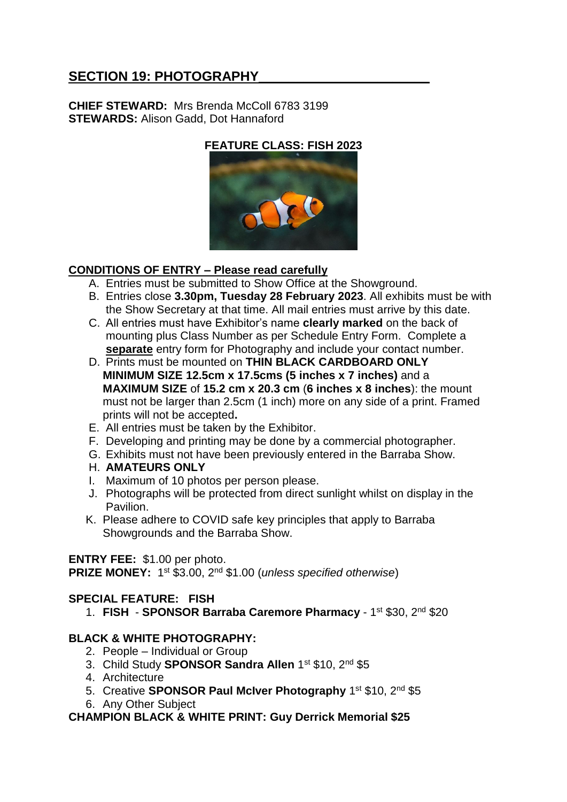# SECTION 19: PHOTOGRAPHY

**CHIEF STEWARD:** Mrs Brenda McColl 6783 3199 **STEWARDS:** Alison Gadd, Dot Hannaford

**FEATURE CLASS: FISH 2023**



## **CONDITIONS OF ENTRY – Please read carefully**

- A. Entries must be submitted to Show Office at the Showground.
- B. Entries close **3.30pm, Tuesday 28 February 2023**. All exhibits must be with the Show Secretary at that time. All mail entries must arrive by this date.
- C. All entries must have Exhibitor's name **clearly marked** on the back of mounting plus Class Number as per Schedule Entry Form. Complete a **separate** entry form for Photography and include your contact number.
- D. Prints must be mounted on **THIN BLACK CARDBOARD ONLY MINIMUM SIZE 12.5cm x 17.5cms (5 inches x 7 inches)** and a **MAXIMUM SIZE** of **15.2 cm x 20.3 cm** (**6 inches x 8 inches**): the mount must not be larger than 2.5cm (1 inch) more on any side of a print. Framed prints will not be accepted**.**
- E. All entries must be taken by the Exhibitor.
- F. Developing and printing may be done by a commercial photographer.
- G. Exhibits must not have been previously entered in the Barraba Show.
- H. **AMATEURS ONLY**
- I. Maximum of 10 photos per person please.
- J. Photographs will be protected from direct sunlight whilst on display in the Pavilion.
- K. Please adhere to COVID safe key principles that apply to Barraba Showgrounds and the Barraba Show.

## **ENTRY FEE:** \$1.00 per photo.

**PRIZE MONEY:** 1<sup>st</sup> \$3.00, 2<sup>nd</sup> \$1.00 (*unless specified otherwise*)

## **SPECIAL FEATURE: FISH**

1. FISH - SPONSOR Barraba Caremore Pharmacy - 1st \$30, 2nd \$20

## **BLACK & WHITE PHOTOGRAPHY:**

- 2. People Individual or Group
- 3. Child Study **SPONSOR Sandra Allen** 1<sup>st</sup> \$10, 2<sup>nd</sup> \$5
- 4. Architecture
- 5. Creative **SPONSOR Paul McIver Photography** 1<sup>st</sup> \$10, 2<sup>nd</sup> \$5
- 6. Any Other Subject

#### **CHAMPION BLACK & WHITE PRINT: Guy Derrick Memorial \$25**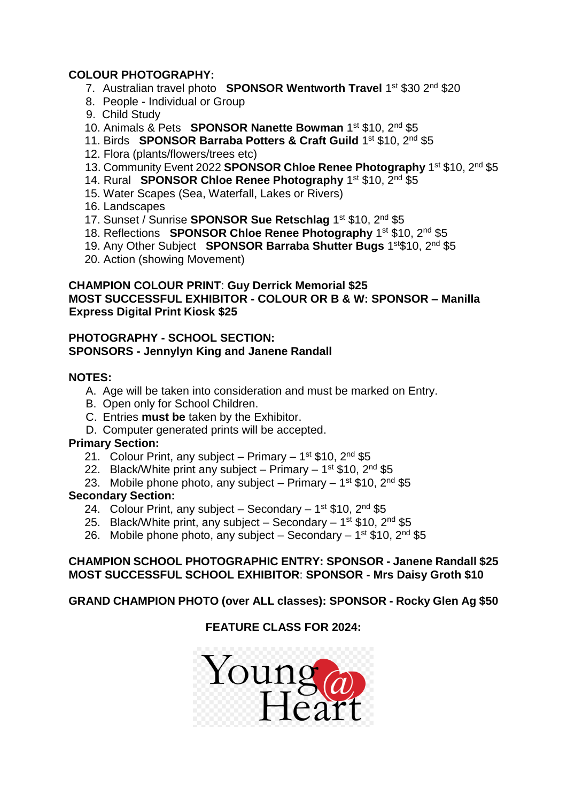### **COLOUR PHOTOGRAPHY:**

- 7. Australian travel photo **SPONSOR Wentworth Travel** 1<sup>st</sup> \$30 2<sup>nd</sup> \$20
- 8. People Individual or Group
- 9. Child Study
- 10. Animals & Pets **SPONSOR Nanette Bowman** 1 st \$10, 2nd \$5
- 11. Birds **SPONSOR Barraba Potters & Craft Guild** 1<sup>st</sup> \$10, 2<sup>nd</sup> \$5
	- 12. Flora (plants/flowers/trees etc)
- 13. Community Event 2022 **SPONSOR Chloe Renee Photography** 1<sup>st</sup> \$10, 2<sup>nd</sup> \$5
- 14. Rural SPONSOR Chloe Renee Photography 1<sup>st</sup> \$10, 2<sup>nd</sup> \$5
	- 15. Water Scapes (Sea, Waterfall, Lakes or Rivers)
	- 16. Landscapes
- 17. Sunset / Sunrise **SPONSOR Sue Retschlag** 1<sup>st</sup> \$10, 2<sup>nd</sup> \$5
- 18. Reflections **SPONSOR Chloe Renee Photography** 1<sup>st</sup> \$10, 2<sup>nd</sup> \$5
- 19. Any Other Subject **SPONSOR Barraba Shutter Bugs** 1<sup>st</sup>\$10, 2<sup>nd</sup> \$5
	- 20. Action (showing Movement)

### **CHAMPION COLOUR PRINT**: **Guy Derrick Memorial \$25 MOST SUCCESSFUL EXHIBITOR - COLOUR OR B & W: SPONSOR – Manilla Express Digital Print Kiosk \$25**

#### **PHOTOGRAPHY - SCHOOL SECTION: SPONSORS - Jennylyn King and Janene Randall**

#### **NOTES:**

- A. Age will be taken into consideration and must be marked on Entry.
- B. Open only for School Children.
- C. Entries **must be** taken by the Exhibitor.
- D. Computer generated prints will be accepted.

#### **Primary Section:**

- 21. Colour Print, any subject Primary 1<sup>st</sup> \$10, 2<sup>nd</sup> \$5
- 22. Black/White print any subject Primary 1<sup>st</sup> \$10, 2<sup>nd</sup> \$5
- 23. Mobile phone photo, any subject Primary 1<sup>st</sup> \$10, 2<sup>nd</sup> \$5

#### **Secondary Section:**

- 24. Colour Print, any subject Secondary 1<sup>st</sup> \$10, 2<sup>nd</sup> \$5
- 25. Black/White print, any subject Secondary 1<sup>st</sup> \$10, 2<sup>nd</sup> \$5
- 26. Mobile phone photo, any subject Secondary 1<sup>st</sup> \$10, 2<sup>nd</sup> \$5

#### **CHAMPION SCHOOL PHOTOGRAPHIC ENTRY: SPONSOR - Janene Randall \$25 MOST SUCCESSFUL SCHOOL EXHIBITOR**: **SPONSOR - Mrs Daisy Groth \$10**

#### **GRAND CHAMPION PHOTO (over ALL classes): SPONSOR - Rocky Glen Ag \$50**

## **FEATURE CLASS FOR 2024:**